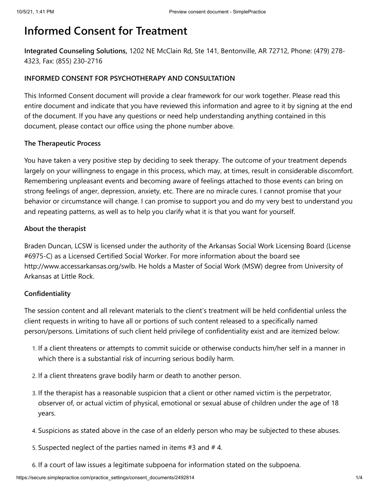# **Informed Consent for Treatment**

**Integrated Counseling Solutions,** 1202 NE McClain Rd, Ste 141, Bentonville, AR 72712, Phone: (479) 278- 4323, Fax: (855) 230-2716

# **INFORMED CONSENT FOR PSYCHOTHERAPY AND CONSULTATION**

This Informed Consent document will provide a clear framework for our work together. Please read this entire document and indicate that you have reviewed this information and agree to it by signing at the end of the document. If you have any questions or need help understanding anything contained in this document, please contact our office using the phone number above.

# **The Therapeutic Process**

You have taken a very positive step by deciding to seek therapy. The outcome of your treatment depends largely on your willingness to engage in this process, which may, at times, result in considerable discomfort. Remembering unpleasant events and becoming aware of feelings attached to those events can bring on strong feelings of anger, depression, anxiety, etc. There are no miracle cures. I cannot promise that your behavior or circumstance will change. I can promise to support you and do my very best to understand you and repeating patterns, as well as to help you clarify what it is that you want for yourself.

#### **About the therapist**

Braden Duncan, LCSW is licensed under the authority of the Arkansas Social Work Licensing Board (License #6975-C) as a Licensed Certified Social Worker. For more information about the board see http://www.accessarkansas.org/swlb. He holds a Master of Social Work (MSW) degree from University of Arkansas at Little Rock.

# **Confidentiality**

The session content and all relevant materials to the client's treatment will be held confidential unless the client requests in writing to have all or portions of such content released to a specifically named person/persons. Limitations of such client held privilege of confidentiality exist and are itemized below:

- 1. If a client threatens or attempts to commit suicide or otherwise conducts him/her self in a manner in which there is a substantial risk of incurring serious bodily harm.
- 2. If a client threatens grave bodily harm or death to another person.
- 3. If the therapist has a reasonable suspicion that a client or other named victim is the perpetrator, observer of, or actual victim of physical, emotional or sexual abuse of children under the age of 18 years.
- 4. Suspicions as stated above in the case of an elderly person who may be subjected to these abuses.
- 5. Suspected neglect of the parties named in items #3 and # 4.
- 6. If a court of law issues a legitimate subpoena for information stated on the subpoena.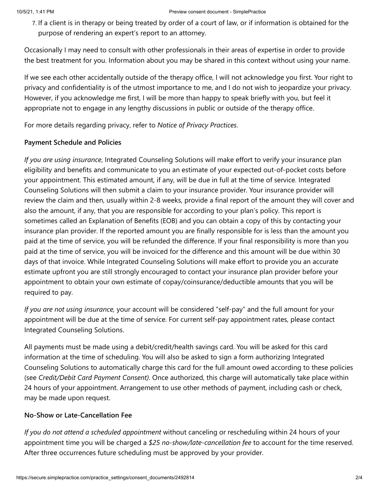#### 10/5/21, 1:41 PM Preview consent document - SimplePractice

7. If a client is in therapy or being treated by order of a court of law, or if information is obtained for the purpose of rendering an expert's report to an attorney.

Occasionally I may need to consult with other professionals in their areas of expertise in order to provide the best treatment for you. Information about you may be shared in this context without using your name.

If we see each other accidentally outside of the therapy office, I will not acknowledge you first. Your right to privacy and confidentiality is of the utmost importance to me, and I do not wish to jeopardize your privacy. However, if you acknowledge me first, I will be more than happy to speak briefly with you, but feel it appropriate not to engage in any lengthy discussions in public or outside of the therapy office.

For more details regarding privacy, refer to *Notice of Privacy Practices*.

# **Payment Schedule and Policies**

*If you are using insurance*, Integrated Counseling Solutions will make effort to verify your insurance plan eligibility and benefits and communicate to you an estimate of your expected out-of-pocket costs before your appointment. This estimated amount, if any, will be due in full at the time of service. Integrated Counseling Solutions will then submit a claim to your insurance provider. Your insurance provider will review the claim and then, usually within 2-8 weeks, provide a final report of the amount they will cover and also the amount, if any, that you are responsible for according to your plan's policy. This report is sometimes called an Explanation of Benefits (EOB) and you can obtain a copy of this by contacting your insurance plan provider. If the reported amount you are finally responsible for is less than the amount you paid at the time of service, you will be refunded the difference. If your final responsibility is more than you paid at the time of service, you will be invoiced for the difference and this amount will be due within 30 days of that invoice. While Integrated Counseling Solutions will make effort to provide you an accurate estimate upfront you are still strongly encouraged to contact your insurance plan provider before your appointment to obtain your own estimate of copay/coinsurance/deductible amounts that you will be required to pay.

*If you are not using insurance,* your account will be considered "self-pay" and the full amount for your appointment will be due at the time of service. For current self-pay appointment rates, please contact Integrated Counseling Solutions.

All payments must be made using a debit/credit/health savings card. You will be asked for this card information at the time of scheduling. You will also be asked to sign a form authorizing Integrated Counseling Solutions to automatically charge this card for the full amount owed according to these policies (see *Credit/Debit Card Payment Consent)*. Once authorized, this charge will automatically take place within 24 hours of your appointment. Arrangement to use other methods of payment, including cash or check, may be made upon request.

# **No-Show or Late-Cancellation Fee**

*If you do not attend a scheduled appointment* without canceling or rescheduling within 24 hours of your appointment time you will be charged a *\$25 no-show/late-cancellation fee* to account for the time reserved. After three occurrences future scheduling must be approved by your provider.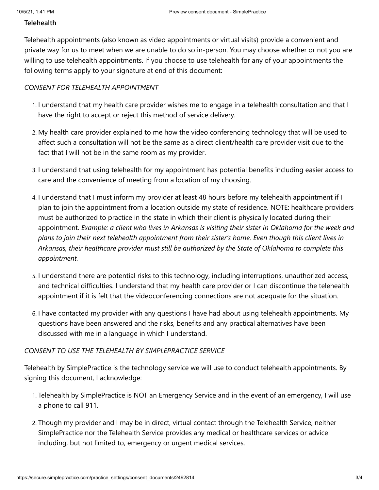#### **Telehealth**

Telehealth appointments (also known as video appointments or virtual visits) provide a convenient and private way for us to meet when we are unable to do so in-person. You may choose whether or not you are willing to use telehealth appointments. If you choose to use telehealth for any of your appointments the following terms apply to your signature at end of this document:

#### *CONSENT FOR TELEHEALTH APPOINTMENT*

- 1. I understand that my health care provider wishes me to engage in a telehealth consultation and that I have the right to accept or reject this method of service delivery.
- 2. My health care provider explained to me how the video conferencing technology that will be used to affect such a consultation will not be the same as a direct client/health care provider visit due to the fact that I will not be in the same room as my provider.
- 3. I understand that using telehealth for my appointment has potential benefits including easier access to care and the convenience of meeting from a location of my choosing.
- 4. I understand that I must inform my provider at least 48 hours before my telehealth appointment if I plan to join the appointment from a location outside my state of residence. NOTE: healthcare providers must be authorized to practice in the state in which their client is physically located during their appointment. *Example: a client who lives in Arkansas is visiting their sister in Oklahoma for the week and plans to join their next telehealth appointment from their sister's home. Even though this client lives in Arkansas, their healthcare provider must still be authorized by the State of Oklahoma to complete this appointment.*
- 5. I understand there are potential risks to this technology, including interruptions, unauthorized access, and technical difficulties. I understand that my health care provider or I can discontinue the telehealth appointment if it is felt that the videoconferencing connections are not adequate for the situation.
- 6. I have contacted my provider with any questions I have had about using telehealth appointments. My questions have been answered and the risks, benefits and any practical alternatives have been discussed with me in a language in which I understand.

#### *CONSENT TO USE THE TELEHEALTH BY SIMPLEPRACTICE SERVICE*

Telehealth by SimplePractice is the technology service we will use to conduct telehealth appointments. By signing this document, I acknowledge:

- 1. Telehealth by SimplePractice is NOT an Emergency Service and in the event of an emergency, I will use a phone to call 911.
- 2. Though my provider and I may be in direct, virtual contact through the Telehealth Service, neither SimplePractice nor the Telehealth Service provides any medical or healthcare services or advice including, but not limited to, emergency or urgent medical services.